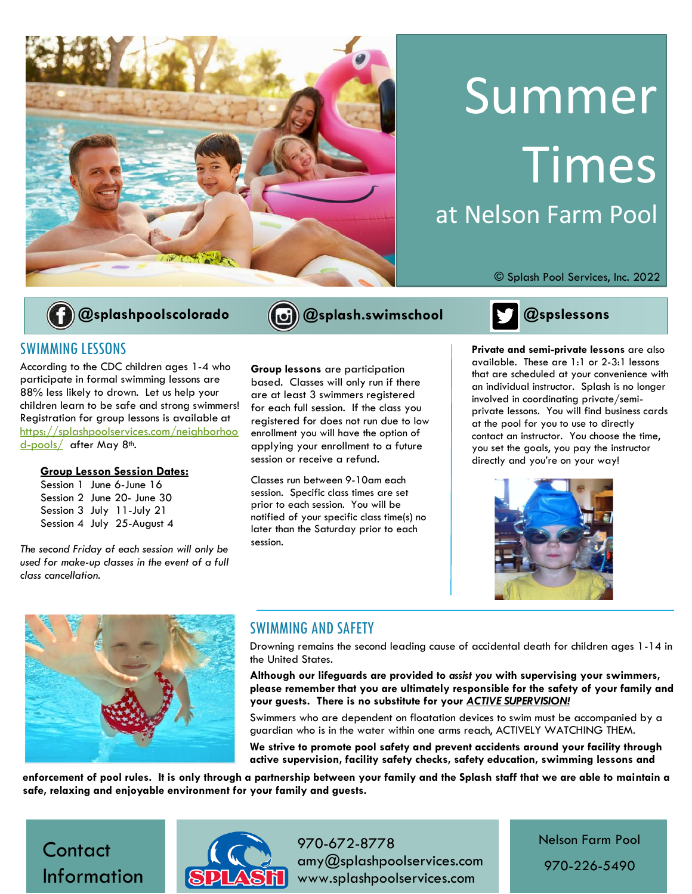

# Summer **Times** at Nelson Farm Pool



### SWIMMING LESSONS

According to the CDC children ages 1-4 who participate in formal swimming lessons are 88% less likely to drown. Let us help your children learn to be safe and strong swimmers! Registration for group lessons is available at [https://splashpoolservices.com/neighborhoo](https://splashpoolservices.com/neighborhood-pools/) [d-pools/](https://splashpoolservices.com/neighborhood-pools/) after May 8<sup>th</sup>.

#### **Group Lesson Session Dates:**

Session 1 June 6-June 16 Session 2 June 20- June 30 Session 3 July 11-July 21 Session 4 July 25-August 4

*The second Friday of each session will only be used for make-up classes in the event of a full class cancellation.*

**Group lessons** are participation based. Classes will only run if there are at least 3 swimmers registered for each full session. If the class you registered for does not run due to low enrollment you will have the option of applying your enrollment to a future session or receive a refund.

Classes run between 9-10am each session. Specific class times are set prior to each session. You will be notified of your specific class time(s) no later than the Saturday prior to each session.

© Splash Pool Services, Inc. 2022



**Private and semi-private lessons** are also available. These are 1:1 or 2-3:1 lessons that are scheduled at your convenience with an individual instructor. Splash is no longer involved in coordinating private/semiprivate lessons. You will find business cards at the pool for you to use to directly contact an instructor. You choose the time, you set the goals, you pay the instructor directly and you're on your way!





### SWIMMING AND SAFETY

Drowning remains the second leading cause of accidental death for children ages 1-14 in the United States.

**Although our lifeguards are provided to** *assist you* **with supervising your swimmers, please remember that you are ultimately responsible for the safety of your family and your guests. There is no substitute for your** *ACTIVE SUPERVISION!* 

Swimmers who are dependent on floatation devices to swim must be accompanied by a guardian who is in the water within one arms reach, ACTIVELY WATCHING THEM.

**We strive to promote pool safety and prevent accidents around your facility through active supervision, facility safety checks, safety education, swimming lessons and** 

**enforcement of pool rules. It is only through a partnership between your family and the Splash staff that we are able to maintain a safe, relaxing and enjoyable environment for your family and guests.**





970-672-8778 amy@splashpoolservices.com www.splashpoolservices.com

Nelson Farm Pool

970-226-5490